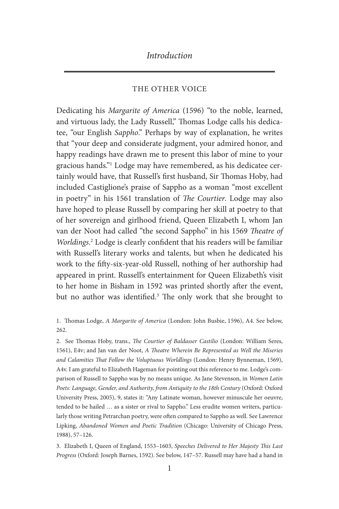#### THE OTHER VOICE

Dedicating his *Margarite of America* (1596) "to the noble, learned, and virtuous lady, the Lady Russell," Thomas Lodge calls his dedicatee, "our English *Sappho*." Perhaps by way of explanation, he writes that "your deep and considerate judgment, your admired honor, and happy readings have drawn me to present this labor of mine to your gracious hands."1 Lodge may have remembered, as his dedicatee certainly would have, that Russell's first husband, Sir Thomas Hoby, had included Castiglione's praise of Sappho as a woman "most excellent in poetry" in his 1561 translation of *The Courtier*. Lodge may also have hoped to please Russell by comparing her skill at poetry to that of her sovereign and girlhood friend, Queen Elizabeth I, whom Jan van der Noot had called "the second Sappho" in his 1569 *Theatre of Worldings.*<sup>2</sup> Lodge is clearly confident that his readers will be familiar with Russell's literary works and talents, but when he dedicated his work to the fifty-six-year-old Russell, nothing of her authorship had appeared in print. Russell's entertainment for Queen Elizabeth's visit to her home in Bisham in 1592 was printed shortly after the event, but no author was identified.<sup>3</sup> The only work that she brought to

1. Thomas Lodge, *A Margarite of America* (London: John Busbie, 1596), A4. See below, 262.

2. See Thomas Hoby, trans., *The Courtier of Baldasser Castilio* (London: William Seres, 1561), E4v; and Jan van der Noot, *A Theatre Wherein Be Represented as Well the Miseries and Calamities That Follow the Voluptuous Worldlings* (London: Henry Bynneman, 1569), A4v. I am grateful to Elizabeth Hageman for pointing out this reference to me. Lodge's comparison of Russell to Sappho was by no means unique. As Jane Stevenson, in *Women Latin Poets: Language, Gender, and Authority, from Antiquity to the 18th Century* (Oxford: Oxford University Press, 2005), 9, states it: "Any Latinate woman, however minuscule her oeuvre, tended to be hailed … as a sister or rival to Sappho." Less erudite women writers, particularly those writing Petrarchan poetry, were often compared to Sappho as well. See Lawrence Lipking, *Abandoned Women and Poetic Tradition* (Chicago: University of Chicago Press, 1988), 57–126.

3. Elizabeth I, Queen of England, 1553–1603, *Speeches Delivered to Her Majesty This Last Progress* (Oxford: Joseph Barnes, 1592). See below, 147–57. Russell may have had a hand in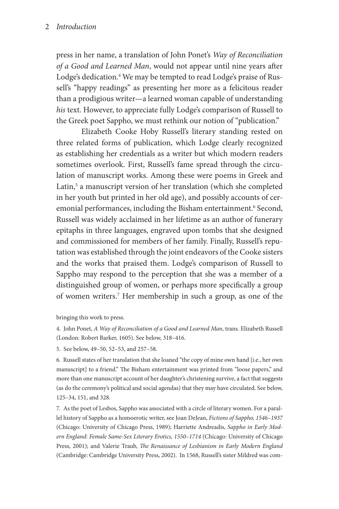press in her name, a translation of John Ponet's *Way of Reconciliation of a Good and Learned Man*, would not appear until nine years after Lodge's dedication.4 We may be tempted to read Lodge's praise of Russell's "happy readings" as presenting her more as a felicitous reader than a prodigious writer—a learned woman capable of understanding *his* text. However, to appreciate fully Lodge's comparison of Russell to the Greek poet Sappho, we must rethink our notion of "publication."

Elizabeth Cooke Hoby Russell's literary standing rested on three related forms of publication, which Lodge clearly recognized as establishing her credentials as a writer but which modern readers sometimes overlook. First, Russell's fame spread through the circulation of manuscript works. Among these were poems in Greek and Latin,<sup>5</sup> a manuscript version of her translation (which she completed in her youth but printed in her old age), and possibly accounts of ceremonial performances, including the Bisham entertainment.<sup>6</sup> Second, Russell was widely acclaimed in her lifetime as an author of funerary epitaphs in three languages, engraved upon tombs that she designed and commissioned for members of her family. Finally, Russell's reputation was established through the joint endeavors of the Cooke sisters and the works that praised them. Lodge's comparison of Russell to Sappho may respond to the perception that she was a member of a distinguished group of women, or perhaps more specifically a group of women writers.7 Her membership in such a group, as one of the

bringing this work to press.

4. John Ponet, *A Way of Reconciliation of a Good and Learned Man*, trans. Elizabeth Russell (London: Robert Barker, 1605). See below, 318–416.

5. See below, 49–50, 52–53, and 257–58.

6. Russell states of her translation that she loaned "the copy of mine own hand [i.e., her own manuscript] to a friend." The Bisham entertainment was printed from "loose papers," and more than one manuscript account of her daughter's christening survive, a fact that suggests (as do the ceremony's political and social agendas) that they may have circulated. See below, 125–34, 151, and 328.

7. As the poet of Lesbos, Sappho was associated with a circle of literary women. For a parallel history of Sappho as a homoerotic writer, see Joan DeJean, *Fictions of Sappho, 1546–1937*  (Chicago: University of Chicago Press, 1989); Harriette Andreadis, *Sappho in Early Modern England: Female Same-Sex Literary Erotics, 1550–1714* (Chicago: University of Chicago Press, 2001); and Valerie Traub, *The Renaissance of Lesbianism in Early Modern England* (Cambridge: Cambridge University Press, 2002). In 1568, Russell's sister Mildred was com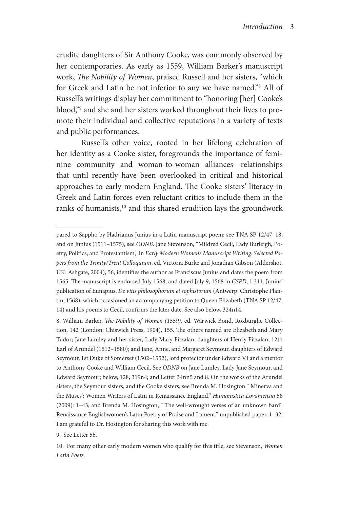erudite daughters of Sir Anthony Cooke, was commonly observed by her contemporaries. As early as 1559, William Barker's manuscript work, *The Nobility of Women*, praised Russell and her sisters, "which for Greek and Latin be not inferior to any we have named."8 All of Russell's writings display her commitment to "honoring [her] Cooke's blood,"9 and she and her sisters worked throughout their lives to promote their individual and collective reputations in a variety of texts and public performances.

Russell's other voice, rooted in her lifelong celebration of her identity as a Cooke sister, foregrounds the importance of feminine community and woman-to-woman alliances—relationships that until recently have been overlooked in critical and historical approaches to early modern England. The Cooke sisters' literacy in Greek and Latin forces even reluctant critics to include them in the ranks of humanists,<sup>10</sup> and this shared erudition lays the groundwork

9. See Letter 56.

pared to Sappho by Hadrianus Junius in a Latin manuscript poem: see TNA SP 12/47, 18; and on Junius (1511–1575), see *ODNB*. Jane Stevenson, "Mildred Cecil, Lady Burleigh, Poetry, Politics, and Protestantism," in *Early Modern Women's Manuscript Writing: Selected Papers from the Trinity/Trent Colloquium*, ed. Victoria Burke and Jonathan Gibson (Aldershot, UK: Ashgate, 2004), 56, identifies the author as Franciscus Junius and dates the poem from 1565. The manuscript is endorsed July 1568, and dated July 9, 1568 in *CSPD*, 1:311. Junius' publication of Eunapius, *De vitis philosophorum et sophistorum* (Antwerp: Christophe Plantin, 1568), which occasioned an accompanying petition to Queen Elizabeth (TNA SP 12/47, 14) and his poems to Cecil, confirms the later date. See also below, 324n14.

<sup>8.</sup> William Barker, *The Nobility of Women (1559)*, ed. Warwick Bond, Roxburghe Collection, 142 (London: Chiswick Press, 1904), 155. The others named are Elizabeth and Mary Tudor; Jane Lumley and her sister, Lady Mary Fitzalan, daughters of Henry Fitzalan, 12th Earl of Arundel (1512–1580); and Jane, Anne, and Margaret Seymour, daughters of Edward Seymour, 1st Duke of Somerset (1502–1552), lord protector under Edward VI and a mentor to Anthony Cooke and William Cecil. See *ODNB* on Jane Lumley, Lady Jane Seymour, and Edward Seymour; below, 128, 319n4; and Letter 34nn5 and 8. On the works of the Arundel sisters, the Seymour sisters, and the Cooke sisters, see Brenda M. Hosington "'Minerva and the Muses': Women Writers of Latin in Renaissance England," *Humanistica Lovaniensia* 58 (2009): 1–43; and Brenda M. Hosington, "'The well-wrought verses of an unknown bard': Renaissance Englishwomen's Latin Poetry of Praise and Lament," unpublished paper, 1–32. I am grateful to Dr. Hosington for sharing this work with me.

<sup>10.</sup> For many other early modern women who qualify for this title, see Stevenson, *Women Latin Poets.*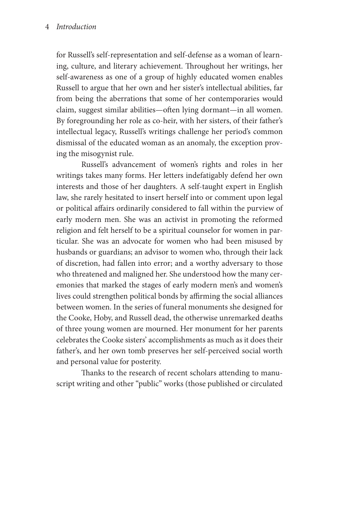#### 4 *Introduction*

for Russell's self-representation and self-defense as a woman of learning, culture, and literary achievement. Throughout her writings, her self-awareness as one of a group of highly educated women enables Russell to argue that her own and her sister's intellectual abilities, far from being the aberrations that some of her contemporaries would claim, suggest similar abilities—often lying dormant—in all women. By foregrounding her role as co-heir, with her sisters, of their father's intellectual legacy, Russell's writings challenge her period's common dismissal of the educated woman as an anomaly, the exception proving the misogynist rule.

Russell's advancement of women's rights and roles in her writings takes many forms. Her letters indefatigably defend her own interests and those of her daughters. A self-taught expert in English law, she rarely hesitated to insert herself into or comment upon legal or political affairs ordinarily considered to fall within the purview of early modern men. She was an activist in promoting the reformed religion and felt herself to be a spiritual counselor for women in particular. She was an advocate for women who had been misused by husbands or guardians; an advisor to women who, through their lack of discretion, had fallen into error; and a worthy adversary to those who threatened and maligned her. She understood how the many ceremonies that marked the stages of early modern men's and women's lives could strengthen political bonds by affirming the social alliances between women. In the series of funeral monuments she designed for the Cooke, Hoby, and Russell dead, the otherwise unremarked deaths of three young women are mourned. Her monument for her parents celebrates the Cooke sisters' accomplishments as much as it does their father's, and her own tomb preserves her self-perceived social worth and personal value for posterity.

Thanks to the research of recent scholars attending to manuscript writing and other "public" works (those published or circulated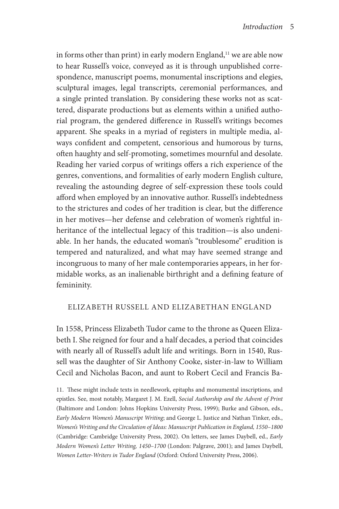in forms other than print) in early modern England,<sup>11</sup> we are able now to hear Russell's voice, conveyed as it is through unpublished correspondence, manuscript poems, monumental inscriptions and elegies, sculptural images, legal transcripts, ceremonial performances, and a single printed translation. By considering these works not as scattered, disparate productions but as elements within a unified authorial program, the gendered difference in Russell's writings becomes apparent. She speaks in a myriad of registers in multiple media, always confident and competent, censorious and humorous by turns, often haughty and self-promoting, sometimes mournful and desolate. Reading her varied corpus of writings offers a rich experience of the genres, conventions, and formalities of early modern English culture, revealing the astounding degree of self-expression these tools could afford when employed by an innovative author. Russell's indebtedness to the strictures and codes of her tradition is clear, but the difference in her motives—her defense and celebration of women's rightful inheritance of the intellectual legacy of this tradition—is also undeniable. In her hands, the educated woman's "troublesome" erudition is tempered and naturalized, and what may have seemed strange and incongruous to many of her male contemporaries appears, in her formidable works, as an inalienable birthright and a defining feature of femininity.

### ELIZABETH RUSSELL AND ELIZABETHAN ENGLAND

In 1558, Princess Elizabeth Tudor came to the throne as Queen Elizabeth I. She reigned for four and a half decades, a period that coincides with nearly all of Russell's adult life and writings. Born in 1540, Russell was the daughter of Sir Anthony Cooke, sister-in-law to William Cecil and Nicholas Bacon, and aunt to Robert Cecil and Francis Ba-

11. These might include texts in needlework, epitaphs and monumental inscriptions, and epistles. See, most notably, Margaret J. M. Ezell, *Social Authorship and the Advent of Print* (Baltimore and London: Johns Hopkins University Press, 1999); Burke and Gibson, eds., *Early Modern Women's Manuscript Writing*; and George L. Justice and Nathan Tinker, eds., *Women's Writing and the Circulation of Ideas: Manuscript Publication in England, 1550–1800* (Cambridge: Cambridge University Press, 2002). On letters, see James Daybell, ed., *Early Modern Women's Letter Writing, 1450–1700* (London: Palgrave, 2001); and James Daybell, *Women Letter-Writers in Tudor England* (Oxford: Oxford University Press, 2006).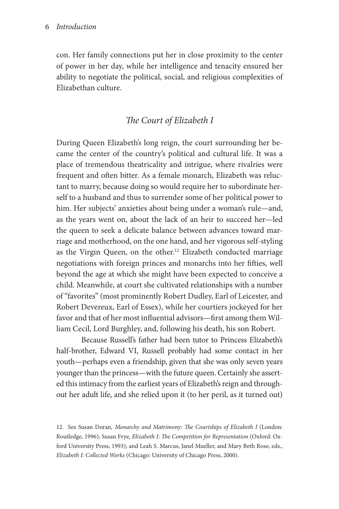con. Her family connections put her in close proximity to the center of power in her day, while her intelligence and tenacity ensured her ability to negotiate the political, social, and religious complexities of Elizabethan culture.

## *The Court of Elizabeth I*

During Queen Elizabeth's long reign, the court surrounding her became the center of the country's political and cultural life. It was a place of tremendous theatricality and intrigue, where rivalries were frequent and often bitter. As a female monarch, Elizabeth was reluctant to marry, because doing so would require her to subordinate herself to a husband and thus to surrender some of her political power to him. Her subjects' anxieties about being under a woman's rule—and, as the years went on, about the lack of an heir to succeed her—led the queen to seek a delicate balance between advances toward marriage and motherhood, on the one hand, and her vigorous self-styling as the Virgin Queen, on the other.<sup>12</sup> Elizabeth conducted marriage negotiations with foreign princes and monarchs into her fifties, well beyond the age at which she might have been expected to conceive a child. Meanwhile, at court she cultivated relationships with a number of "favorites" (most prominently Robert Dudley, Earl of Leicester, and Robert Devereux, Earl of Essex), while her courtiers jockeyed for her favor and that of her most influential advisors—first among them William Cecil, Lord Burghley, and, following his death, his son Robert.

Because Russell's father had been tutor to Princess Elizabeth's half-brother, Edward VI, Russell probably had some contact in her youth—perhaps even a friendship, given that she was only seven years younger than the princess—with the future queen. Certainly she asserted this intimacy from the earliest years of Elizabeth's reign and throughout her adult life, and she relied upon it (to her peril, as it turned out)

12. See Susan Doran*, Monarchy and Matrimony: The Courtships of Elizabeth I* (London: Routledge, 1996); Susan Frye, *Elizabeth I: The Competition for Representation* (Oxford: Oxford University Press, 1993); and Leah S. Marcus, Janel Mueller, and Mary Beth Rose, eds., *Elizabeth I: Collected Works* (Chicago: University of Chicago Press, 2000).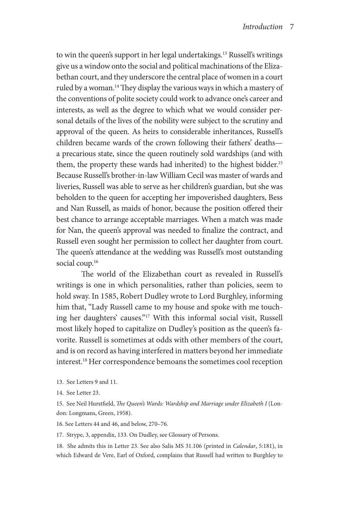to win the queen's support in her legal undertakings.<sup>13</sup> Russell's writings give us a window onto the social and political machinations of the Elizabethan court, and they underscore the central place of women in a court ruled by a woman.14 They display the various ways in which a mastery of the conventions of polite society could work to advance one's career and interests, as well as the degree to which what we would consider personal details of the lives of the nobility were subject to the scrutiny and approval of the queen. As heirs to considerable inheritances, Russell's children became wards of the crown following their fathers' deaths a precarious state, since the queen routinely sold wardships (and with them, the property these wards had inherited) to the highest bidder.15 Because Russell's brother-in-law William Cecil was master of wards and liveries, Russell was able to serve as her children's guardian, but she was beholden to the queen for accepting her impoverished daughters, Bess and Nan Russell, as maids of honor, because the position offered their best chance to arrange acceptable marriages. When a match was made for Nan, the queen's approval was needed to finalize the contract, and Russell even sought her permission to collect her daughter from court. The queen's attendance at the wedding was Russell's most outstanding social coup.<sup>16</sup>

The world of the Elizabethan court as revealed in Russell's writings is one in which personalities, rather than policies, seem to hold sway. In 1585, Robert Dudley wrote to Lord Burghley, informing him that, "Lady Russell came to my house and spoke with me touching her daughters' causes."17 With this informal social visit, Russell most likely hoped to capitalize on Dudley's position as the queen's favorite. Russell is sometimes at odds with other members of the court, and is on record as having interfered in matters beyond her immediate interest.18 Her correspondence bemoans the sometimes cool reception

- 13. See Letters 9 and 11.
- 14. See Letter 23.

15. See Neil Hurstfield, *The Queen's Wards: Wardship and Marriage under Elizabeth I* (London: Longmans, Green, 1958).

16. See Letters 44 and 46, and below, 270–76.

17. Strype, 3, appendix, 133. On Dudley, see Glossary of Persons.

18. She admits this in Letter 23. See also Salis MS 31.106 (printed in *Calendar*, 5:181), in which Edward de Vere, Earl of Oxford, complains that Russell had written to Burghley to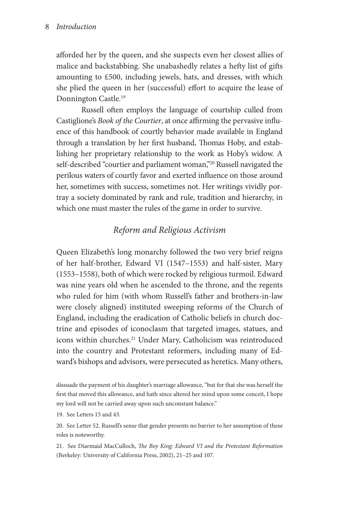afforded her by the queen, and she suspects even her closest allies of malice and backstabbing. She unabashedly relates a hefty list of gifts amounting to £500, including jewels, hats, and dresses, with which she plied the queen in her (successful) effort to acquire the lease of Donnington Castle.19

Russell often employs the language of courtship culled from Castiglione's *Book of the Courtier*, at once affirming the pervasive influence of this handbook of courtly behavior made available in England through a translation by her first husband, Thomas Hoby, and establishing her proprietary relationship to the work as Hoby's widow. A self-described "courtier and parliament woman,"<sup>20</sup> Russell navigated the perilous waters of courtly favor and exerted influence on those around her, sometimes with success, sometimes not. Her writings vividly portray a society dominated by rank and rule, tradition and hierarchy, in which one must master the rules of the game in order to survive.

# *Reform and Religious Activism*

Queen Elizabeth's long monarchy followed the two very brief reigns of her half-brother, Edward VI (1547–1553) and half-sister, Mary (1553–1558), both of which were rocked by religious turmoil. Edward was nine years old when he ascended to the throne, and the regents who ruled for him (with whom Russell's father and brothers-in-law were closely aligned) instituted sweeping reforms of the Church of England, including the eradication of Catholic beliefs in church doctrine and episodes of iconoclasm that targeted images, statues, and icons within churches.<sup>21</sup> Under Mary, Catholicism was reintroduced into the country and Protestant reformers, including many of Edward's bishops and advisors, were persecuted as heretics. Many others,

dissuade the payment of his daughter's marriage allowance, "but for that she was herself the first that moved this allowance, and hath since altered her mind upon some conceit, I hope my lord will not be carried away upon such unconstant balance."

19. See Letters 15 and 43.

20. See Letter 52. Russell's sense that gender presents no barrier to her assumption of these roles is noteworthy.

21. See Diarmaid MacCulloch, *The Boy King: Edward VI and the Protestant Reformation*  (Berkeley: University of California Press, 2002), 21–25 and 107.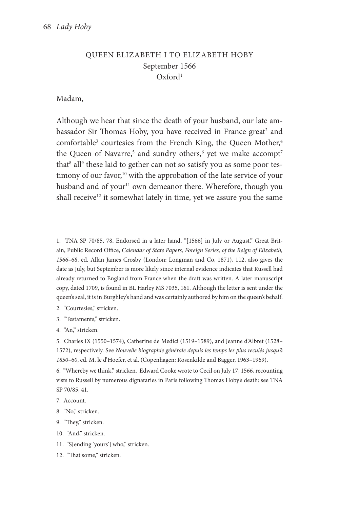### QUEEN ELIZABETH I TO ELIZABETH HOBY September 1566 Oxford1

#### Madam,

Although we hear that since the death of your husband, our late ambassador Sir Thomas Hoby, you have received in France great<sup>2</sup> and comfortable<sup>3</sup> courtesies from the French King, the Queen Mother,<sup>4</sup> the Queen of Navarre,<sup>5</sup> and sundry others,<sup>6</sup> yet we make accompt<sup>7</sup> that<sup>8</sup> all<sup>9</sup> these laid to gether can not so satisfy you as some poor testimony of our favor,<sup>10</sup> with the approbation of the late service of your husband and of your<sup>11</sup> own demeanor there. Wherefore, though you shall receive<sup>12</sup> it somewhat lately in time, yet we assure you the same

1. TNA SP 70/85, 78. Endorsed in a later hand, "[1566] in July or August." Great Britain, Public Record Office, *Calendar of State Papers, Foreign Series, of the Reign of Elizabeth, 1566–68*, ed. Allan James Crosby (London: Longman and Co, 1871), 112, also gives the date as July, but September is more likely since internal evidence indicates that Russell had already returned to England from France when the draft was written. A later manuscript copy, dated 1709, is found in BL Harley MS 7035, 161. Although the letter is sent under the queen's seal, it is in Burghley's hand and was certainly authored by him on the queen's behalf.

- 2. "Courtesies," stricken.
- 3. "Testaments," stricken.
- 4. "An," stricken.

5. Charles IX (1550–1574), Catherine de Medici (1519–1589), and Jeanne d'Albret (1528– 1572), respectively. See *Nouvelle biographie générale depuis les temps les plus reculés jusqu'à 1850–60*, ed. M. le d'Hoefer, et al. (Copenhagen: Rosenkilde and Bagger, 1963–1969).

6. "Whereby we think," stricken. Edward Cooke wrote to Cecil on July 17, 1566, recounting vists to Russell by numerous dignataries in Paris following Thomas Hoby's death: see TNA SP 70/85, 41.

- 7. Account.
- 8. "No," stricken.
- 9. "They," stricken.
- 10. "And," stricken.
- 11. "S[ending 'yours'] who," stricken.
- 12. "That some," stricken.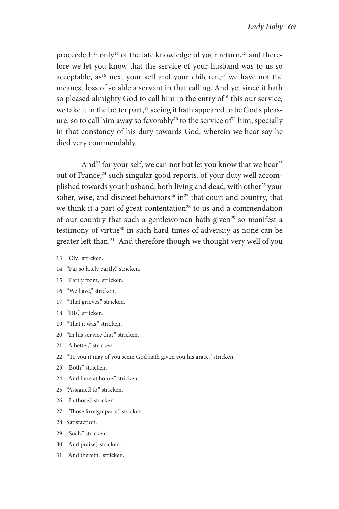proceedeth<sup>13</sup> only<sup>14</sup> of the late knowledge of your return,<sup>15</sup> and therefore we let you know that the service of your husband was to us so acceptable,  $as^{16}$  next your self and your children,<sup>17</sup> we have not the meanest loss of so able a servant in that calling. And yet since it hath so pleased almighty God to call him in the entry of<sup>18</sup> this our service, we take it in the better part,<sup>19</sup> seeing it hath appeared to be God's pleasure, so to call him away so favorably<sup>20</sup> to the service of<sup>21</sup> him, specially in that constancy of his duty towards God, wherein we hear say he died very commendably.

And<sup>22</sup> for your self, we can not but let you know that we hear<sup>23</sup> out of France,<sup>24</sup> such singular good reports, of your duty well accomplished towards your husband, both living and dead, with other<sup>25</sup> your sober, wise, and discreet behaviors<sup>26</sup> in<sup>27</sup> that court and country, that we think it a part of great contentation<sup>28</sup> to us and a commendation of our country that such a gentlewoman hath given<sup>29</sup> so manifest a testimony of virtue<sup>30</sup> in such hard times of adversity as none can be greater left than.<sup>31</sup> And therefore though we thought very well of you

- 13. "Oly," stricken.
- 14. "Par so lately partly," stricken.
- 15. "Partly from," stricken.
- 16. "We have," stricken.
- 17. "That grieves," stricken.
- 18. "His," stricken.
- 19. "That it was," stricken.
- 20. "In his service that," stricken.
- 21. "A better," stricken.
- 22. "To you it may of you seem God hath given you his grace," stricken.
- 23. "Both," stricken.
- 24. "And here at home," stricken.
- 25. "Assigned to," stricken.
- 26. "In those," stricken.
- 27. "Those foreign parts," stricken.
- 28. Satisfaction.
- 29. "Such," stricken.
- 30. "And praise," stricken.
- 31. "And therein," stricken.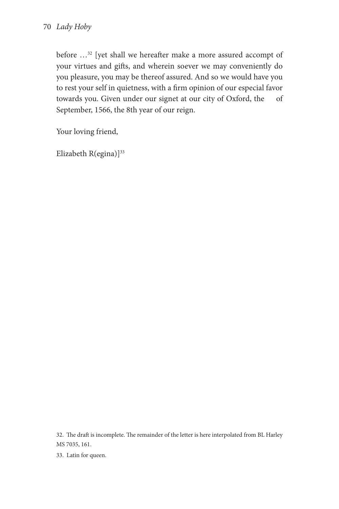before …32 [yet shall we hereafter make a more assured accompt of your virtues and gifts, and wherein soever we may conveniently do you pleasure, you may be thereof assured. And so we would have you to rest your self in quietness, with a firm opinion of our especial favor towards you. Given under our signet at our city of Oxford, the of September, 1566, the 8th year of our reign.

Your loving friend,

Elizabeth R(egina)]<sup>33</sup>

32. The draft is incomplete. The remainder of the letter is here interpolated from BL Harley MS 7035, 161.

33. Latin for queen.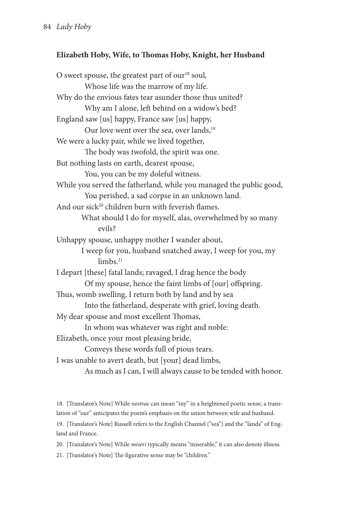### **Elizabeth Hoby, Wife, to Thomas Hoby, Knight, her Husband**

O sweet spouse, the greatest part of our<sup>18</sup> soul, Whose life was the marrow of my life. Why do the envious fates tear asunder those thus united? Why am I alone, left behind on a widow's bed? England saw [us] happy, France saw [us] happy, Our love went over the sea, over lands,<sup>19</sup> We were a lucky pair, while we lived together, The body was twofold, the spirit was one. But nothing lasts on earth, dearest spouse, You, you can be my doleful witness. While you served the fatherland, while you managed the public good, You perished, a sad corpse in an unknown land. And our sick<sup>20</sup> children burn with feverish flames. What should I do for myself, alas, overwhelmed by so many evils? Unhappy spouse, unhappy mother I wander about, I weep for you, husband snatched away, I weep for you, my  $lim<sub>hs</sub> <sup>21</sup>$ I depart [these] fatal lands; ravaged, I drag hence the body Of my spouse, hence the faint limbs of [our] offspring. Thus, womb swelling, I return both by land and by sea Into the fatherland, desperate with grief, loving death. My dear spouse and most excellent Thomas, In whom was whatever was right and noble: Elizabeth, once your most pleasing bride, Conveys these words full of pious tears. I was unable to avert death, but [your] dead limbs, As much as I can, I will always cause to be tended with honor.

18. [Translator's Note] While *nostrae* can mean "my" in a heightened poetic sense, a translation of "our" anticipates the poem's emphasis on the union between wife and husband. 19. [Translator's Note] Russell refers to the English Channel ("sea") and the "lands" of England and France.

20. [Translator's Note] While *miseri* typically means "miserable," it can also denote illness.

21. [Translator's Note] The figurative sense may be "children."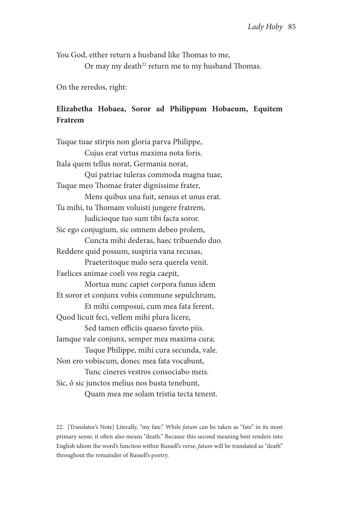You God, either return a husband like Thomas to me,

Or may my death<sup>22</sup> return me to my husband Thomas.

On the reredos, right:

## **Elizabetha Hobaea, Soror ad Philippum Hobaeum, Equitem Fratrem**

Tuque tuae stirpis non gloria parva Philippe, Cujus erat virtus maxima nota foris. Itala quem tellus norat, Germania norat, Qui patriae tuleras commoda magna tuae, Tuque meo Thomae frater dignissime frater, Mens quibus una fuit, sensus et unus erat. Tu mihi, tu Thomam voluisti jungere fratrem, Judicioque tuo sum tibi facta soror. Sic ego conjugium, sic omnem debeo prolem, Cuncta mihi dederas, haec tribuendo duo. Reddere quid possum, suspiria vana recusas, Praeteritoque malo sera querela venit. Faelices animae coeli vos regia caepit, Mortua nunc capiet corpora funus idem Et soror et conjunx vobis commune sepulchrum, Et mihi composui, cum mea fata ferent, Quod licuit feci, vellem mihi plura licere, Sed tamen officiis quaeso faveto piis. Iamque vale conjunx, semper mea maxima cura; Tuque Philippe, mihi cura secunda, vale. Non ero vobiscum, donec mea fata vocabunt, Tunc cineres vestros consociabo meis. Sic, ô sic junctos melius nos busta tenebunt, Quam mea me solam tristia tecta tenent.

22. [Translator's Note] Literally, "my fate." While *fatum* can be taken as "fate" in its most primary sense, it often also means "death." Because this second meaning best renders into English idiom the word's function within Russell's verse, *fatum* will be translated as "death" throughout the remainder of Russell's poetry.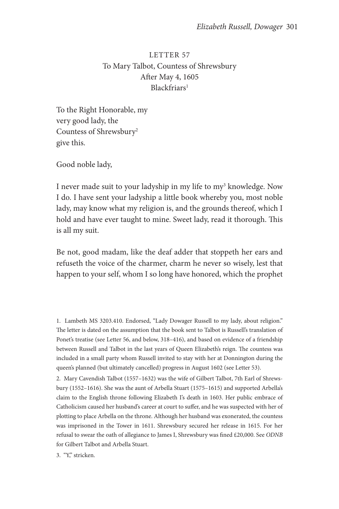LETTER 57 To Mary Talbot, Countess of Shrewsbury After May 4, 1605 Blackfriars<sup>1</sup>

To the Right Honorable, my very good lady, the Countess of Shrewsbury2 give this.

Good noble lady,

I never made suit to your ladyship in my life to my<sup>3</sup> knowledge. Now I do. I have sent your ladyship a little book whereby you, most noble lady, may know what my religion is, and the grounds thereof, which I hold and have ever taught to mine. Sweet lady, read it thorough. This is all my suit.

Be not, good madam, like the deaf adder that stoppeth her ears and refuseth the voice of the charmer, charm he never so wisely, lest that happen to your self, whom I so long have honored, which the prophet

1. Lambeth MS 3203.410. Endorsed, "Lady Dowager Russell to my lady, about religion." The letter is dated on the assumption that the book sent to Talbot is Russell's translation of Ponet's treatise (see Letter 56, and below, 318–416), and based on evidence of a friendship between Russell and Talbot in the last years of Queen Elizabeth's reign. The countess was included in a small party whom Russell invited to stay with her at Donnington during the queen's planned (but ultimately cancelled) progress in August 1602 (see Letter 53).

2. Mary Cavendish Talbot (1557–1632) was the wife of Gilbert Talbot, 7th Earl of Shrewsbury (1552–1616). She was the aunt of Arbella Stuart (1575–1615) and supported Arbella's claim to the English throne following Elizabeth I's death in 1603. Her public embrace of Catholicism caused her husband's career at court to suffer, and he was suspected with her of plotting to place Arbella on the throne. Although her husband was exonerated, the countess was imprisoned in the Tower in 1611. Shrewsbury secured her release in 1615. For her refusal to swear the oath of allegiance to James I, Shrewsbury was fined £20,000. See *ODNB* for Gilbert Talbot and Arbella Stuart.

3. "Y," stricken.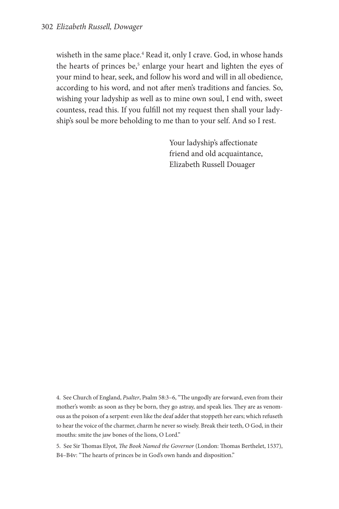wisheth in the same place.<sup>4</sup> Read it, only I crave. God, in whose hands the hearts of princes be,<sup>5</sup> enlarge your heart and lighten the eyes of your mind to hear, seek, and follow his word and will in all obedience, according to his word, and not after men's traditions and fancies. So, wishing your ladyship as well as to mine own soul, I end with, sweet countess, read this. If you fulfill not my request then shall your ladyship's soul be more beholding to me than to your self. And so I rest.

> Your ladyship's affectionate friend and old acquaintance, Elizabeth Russell Douager

4. See Church of England, *Psalter*, Psalm 58:3–6, "The ungodly are forward, even from their mother's womb: as soon as they be born, they go astray, and speak lies. They are as venomous as the poison of a serpent: even like the deaf adder that stoppeth her ears; which refuseth to hear the voice of the charmer, charm he never so wisely. Break their teeth, O God, in their mouths: smite the jaw bones of the lions, O Lord."

5. See Sir Thomas Elyot, *The Book Named the Governor* (London: Thomas Berthelet, 1537), B4–B4v: "The hearts of princes be in God's own hands and disposition."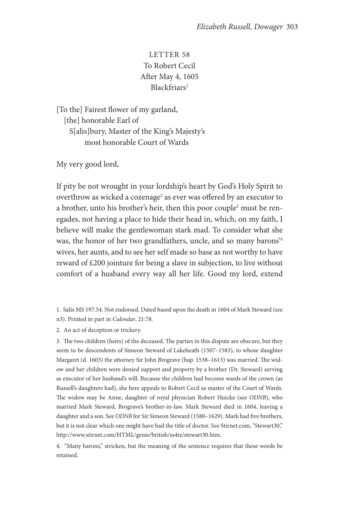## LETTER 58 To Robert Cecil After May 4, 1605 Blackfriars1

[To the] Fairest flower of my garland, [the] honorable Earl of S[alis]bury, Master of the King's Majesty's most honorable Court of Wards

My very good lord,

If pity be not wrought in your lordship's heart by God's Holy Spirit to overthrow as wicked a cozenage<sup>2</sup> as ever was offered by an executor to a brother, unto his brother's heir, then this poor couple<sup>3</sup> must be renegades, not having a place to hide their head in, which, on my faith, I believe will make the gentlewoman stark mad. To consider what she was, the honor of her two grandfathers, uncle, and so many barons'4 wives, her aunts, and to see her self made so base as not worthy to have reward of £200 jointure for being a slave in subjection, to live without comfort of a husband every way all her life. Good my lord, extend

1. Salis MS 197.54. Not endorsed. Dated based upon the death in 1604 of Mark Steward (see n3). Printed in part in *Calendar*, 21:78.

2. An act of deception or trickery.

3. The two children (heirs) of the deceased. The parties in this dispute are obscure, but they seem to be descendents of Simeon Steward of Lakeheath (1507–1583), to whose daughter Margaret (d. 1603) the attorney Sir John Brograve (bap. 1538–1613) was married. The widow and her children were denied support and property by a brother (Dr. Steward) serving as executor of her husband's will. Because the children had become wards of the crown (as Russell's daughters had), she here appeals to Robert Cecil as master of the Court of Wards. The widow may be Anne, daughter of royal physician Robert Huicke (see *ODNB*), who married Mark Steward, Brograve's brother-in-law. Mark Steward died in 1604, leaving a daughter and a son. See *ODNB* for Sir Simeon Steward (1580–1629). Mark had five brothers, but it is not clear which one might have had the title of doctor. See Stirnet.com, "Stewart30," http://www.stirnet.com/HTML/genie/british/ss4tz/stewart30.htm.

4. "Many barons," stricken, but the meaning of the sentence requires that these words be retained.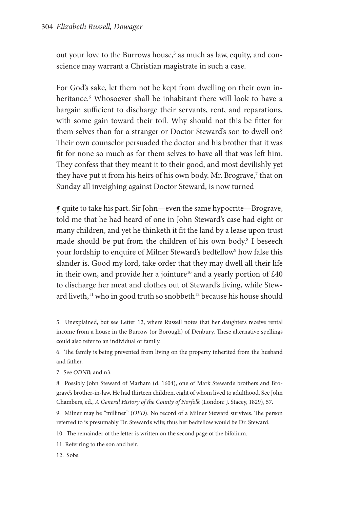out your love to the Burrows house,<sup>5</sup> as much as law, equity, and conscience may warrant a Christian magistrate in such a case.

For God's sake, let them not be kept from dwelling on their own inheritance.6 Whosoever shall be inhabitant there will look to have a bargain sufficient to discharge their servants, rent, and reparations, with some gain toward their toil. Why should not this be fitter for them selves than for a stranger or Doctor Steward's son to dwell on? Their own counselor persuaded the doctor and his brother that it was fit for none so much as for them selves to have all that was left him. They confess that they meant it to their good, and most devilishly yet they have put it from his heirs of his own body. Mr. Brograve, $^7$  that on Sunday all inveighing against Doctor Steward, is now turned

¶ quite to take his part. Sir John—even the same hypocrite—Brograve, told me that he had heard of one in John Steward's case had eight or many children, and yet he thinketh it fit the land by a lease upon trust made should be put from the children of his own body.<sup>8</sup> I beseech your lordship to enquire of Milner Steward's bedfellow<sup>9</sup> how false this slander is. Good my lord, take order that they may dwell all their life in their own, and provide her a jointure<sup>10</sup> and a yearly portion of  $£40$ to discharge her meat and clothes out of Steward's living, while Steward liveth,<sup>11</sup> who in good truth so snobbeth<sup>12</sup> because his house should

5. Unexplained, but see Letter 12, where Russell notes that her daughters receive rental income from a house in the Burrow (or Borough) of Denbury. These alternative spellings could also refer to an individual or family.

6. The family is being prevented from living on the property inherited from the husband and father.

7. See *ODNB*; and n3.

8. Possibly John Steward of Marham (d. 1604), one of Mark Steward's brothers and Brograve's brother-in-law. He had thirteen children, eight of whom lived to adulthood. See John Chambers, ed., *A General History of the County of Norfolk* (London: J. Stacey, 1829), 57.

9. Milner may be "milliner" (*OED*). No record of a Milner Steward survives. The person referred to is presumably Dr. Steward's wife; thus her bedfellow would be Dr. Steward.

10. The remainder of the letter is written on the second page of the bifolium.

11. Referring to the son and heir.

12. Sobs.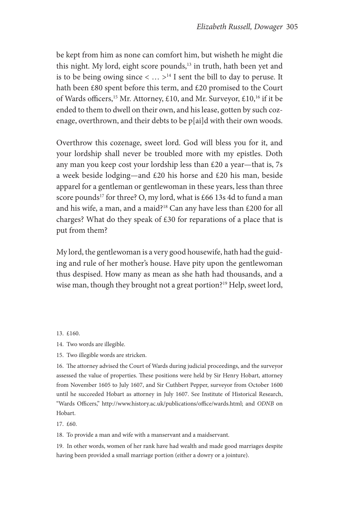be kept from him as none can comfort him, but wisheth he might die this night. My lord, eight score pounds,<sup>13</sup> in truth, hath been yet and is to be being owing since  $\langle \dots \rangle^{14}$  I sent the bill to day to peruse. It hath been £80 spent before this term, and £20 promised to the Court of Wards officers,<sup>15</sup> Mr. Attorney, £10, and Mr. Surveyor, £10,<sup>16</sup> if it be ended to them to dwell on their own, and his lease, gotten by such cozenage, overthrown, and their debts to be p[ai]d with their own woods.

Overthrow this cozenage, sweet lord. God will bless you for it, and your lordship shall never be troubled more with my epistles. Doth any man you keep cost your lordship less than  $£20$  a year—that is, 7s a week beside lodging—and £20 his horse and £20 his man, beside apparel for a gentleman or gentlewoman in these years, less than three score pounds<sup>17</sup> for three? O, my lord, what is £66 13s 4d to fund a man and his wife, a man, and a maid?<sup>18</sup> Can any have less than  $£200$  for all charges? What do they speak of £30 for reparations of a place that is put from them?

My lord, the gentlewoman is a very good housewife, hath had the guiding and rule of her mother's house. Have pity upon the gentlewoman thus despised. How many as mean as she hath had thousands, and a wise man, though they brought not a great portion?<sup>19</sup> Help, sweet lord,

13. £160.

14. Two words are illegible.

15. Two illegible words are stricken.

16. The attorney advised the Court of Wards during judicial proceedings, and the surveyor assessed the value of properties. These positions were held by Sir Henry Hobart, attorney from November 1605 to July 1607, and Sir Cuthbert Pepper, surveyor from October 1600 until he succeeded Hobart as attorney in July 1607. See Institute of Historical Research, "Wards Officers," http://www.history.ac.uk/publications/office/wards.html; and *ODNB* on Hobart.

17. £60.

18. To provide a man and wife with a manservant and a maidservant.

19. In other words, women of her rank have had wealth and made good marriages despite having been provided a small marriage portion (either a dowry or a jointure).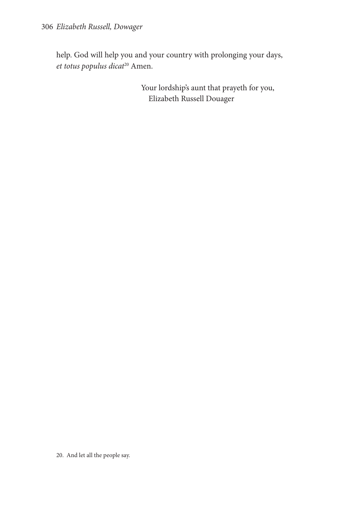help. God will help you and your country with prolonging your days, *et totus populus dicat*20 Amen.

> Your lordship's aunt that prayeth for you, Elizabeth Russell Douager

20. And let all the people say.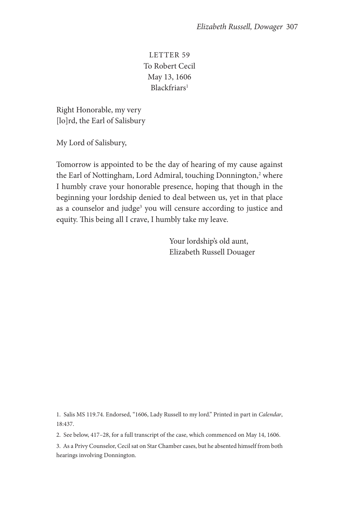LETTER 59 To Robert Cecil May 13, 1606 Blackfriars<sup>1</sup>

Right Honorable, my very [lo]rd, the Earl of Salisbury

My Lord of Salisbury,

Tomorrow is appointed to be the day of hearing of my cause against the Earl of Nottingham, Lord Admiral, touching Donnington,<sup>2</sup> where I humbly crave your honorable presence, hoping that though in the beginning your lordship denied to deal between us, yet in that place as a counselor and judge<sup>3</sup> you will censure according to justice and equity. This being all I crave, I humbly take my leave.

> Your lordship's old aunt, Elizabeth Russell Douager

1. Salis MS 119.74. Endorsed, "1606, Lady Russell to my lord." Printed in part in *Calendar*, 18:437.

2. See below, 417–28, for a full transcript of the case, which commenced on May 14, 1606.

3. As a Privy Counselor, Cecil sat on Star Chamber cases, but he absented himself from both hearings involving Donnington.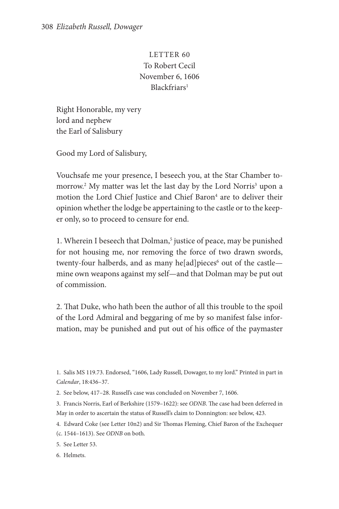LETTER 60 To Robert Cecil November 6, 1606 Blackfriars1

Right Honorable, my very lord and nephew the Earl of Salisbury

Good my Lord of Salisbury,

Vouchsafe me your presence, I beseech you, at the Star Chamber tomorrow.<sup>2</sup> My matter was let the last day by the Lord Norris<sup>3</sup> upon a motion the Lord Chief Justice and Chief Baron<sup>4</sup> are to deliver their opinion whether the lodge be appertaining to the castle or to the keeper only, so to proceed to censure for end.

1. Wherein I beseech that Dolman,<sup>5</sup> justice of peace, may be punished for not housing me, nor removing the force of two drawn swords, twenty-four halberds, and as many he[ad]pieces<sup>6</sup> out of the castle mine own weapons against my self—and that Dolman may be put out of commission.

2. That Duke, who hath been the author of all this trouble to the spoil of the Lord Admiral and beggaring of me by so manifest false information, may be punished and put out of his office of the paymaster

1. Salis MS 119.73. Endorsed, "1606, Lady Russell, Dowager, to my lord." Printed in part in *Calendar*, 18:436–37.

2. See below, 417–28. Russell's case was concluded on November 7, 1606.

3. Francis Norris, Earl of Berkshire (1579–1622): see *ODNB*. The case had been deferred in May in order to ascertain the status of Russell's claim to Donnington: see below, 423.

4. Edward Coke (see Letter 10n2) and Sir Thomas Fleming, Chief Baron of the Exchequer

(c. 1544–1613). See *ODNB* on both.

5. See Letter 53.

6. Helmets.